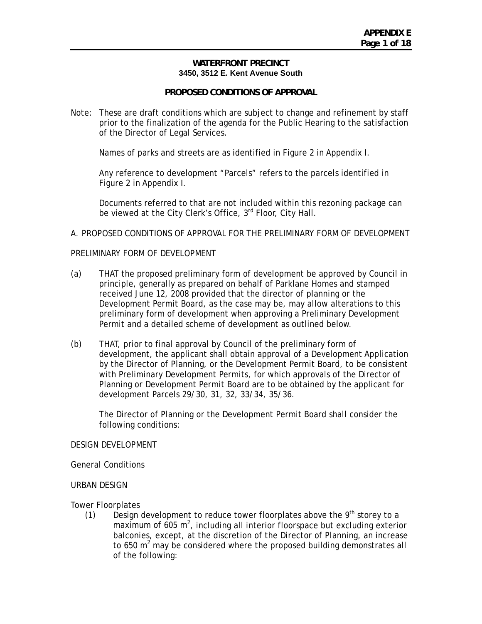### **WATERFRONT PRECINCT 3450, 3512 E. Kent Avenue South**

## **PROPOSED CONDITIONS OF APPROVAL**

Note: These are draft conditions which are subject to change and refinement by staff prior to the finalization of the agenda for the Public Hearing to the satisfaction of the Director of Legal Services.

Names of parks and streets are as identified in Figure 2 in Appendix I.

Any reference to development "Parcels" refers to the parcels identified in Figure 2 in Appendix I.

Documents referred to that are not included within this rezoning package can be viewed at the City Clerk's Office,  $3<sup>rd</sup>$  Floor, City Hall.

### A. PROPOSED CONDITIONS OF APPROVAL FOR THE PRELIMINARY FORM OF DEVELOPMENT

### PRELIMINARY FORM OF DEVELOPMENT

- (a) THAT the proposed preliminary form of development be approved by Council in principle, generally as prepared on behalf of Parklane Homes and stamped received June 12, 2008 provided that the director of planning or the Development Permit Board, as the case may be, may allow alterations to this preliminary form of development when approving a Preliminary Development Permit and a detailed scheme of development as outlined below.
- (b) THAT, prior to final approval by Council of the preliminary form of development, the applicant shall obtain approval of a Development Application by the Director of Planning, or the Development Permit Board, to be consistent with Preliminary Development Permits, for which approvals of the Director of Planning or Development Permit Board are to be obtained by the applicant for development Parcels 29/30, 31, 32, 33/34, 35/36.

The Director of Planning or the Development Permit Board shall consider the following conditions:

#### DESIGN DEVELOPMENT

General Conditions

### URBAN DESIGN

Tower Floorplates

(1) Design development to reduce tower floorplates above the  $9<sup>th</sup>$  storey to a maximum of  $605 \text{ m}^2$ , including all interior floorspace but excluding exterior balconies, except, at the discretion of the Director of Planning, an increase to 650  $m^2$  may be considered where the proposed building demonstrates all of the following: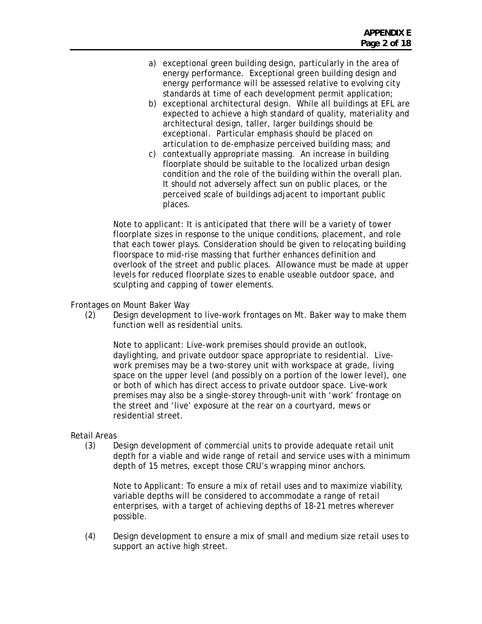- a) exceptional green building design, particularly in the area of energy performance. Exceptional green building design and energy performance will be assessed relative to evolving city standards at time of each development permit application;
- b) exceptional architectural design. While all buildings at EFL are expected to achieve a high standard of quality, materiality and architectural design, taller, larger buildings should be exceptional. Particular emphasis should be placed on articulation to de-emphasize perceived building mass; and
- c) contextually appropriate massing. An increase in building floorplate should be suitable to the localized urban design condition and the role of the building within the overall plan. It should not adversely affect sun on public places, or the perceived scale of buildings adjacent to important public places.

Note to applicant: It is anticipated that there will be a variety of tower floorplate sizes in response to the unique conditions, placement, and role that each tower plays. Consideration should be given to relocating building floorspace to mid-rise massing that further enhances definition and overlook of the street and public places. Allowance must be made at upper levels for reduced floorplate sizes to enable useable outdoor space, and sculpting and capping of tower elements.

### Frontages on Mount Baker Way

(2) Design development to live-work frontages on Mt. Baker way to make them function well as residential units.

Note to applicant: Live-work premises should provide an outlook, daylighting, and private outdoor space appropriate to residential. Livework premises may be a two-storey unit with workspace at grade, living space on the upper level (and possibly on a portion of the lower level), one or both of which has direct access to private outdoor space. Live-work premises may also be a single-storey through-unit with 'work' frontage on the street and 'live' exposure at the rear on a courtyard, mews or residential street.

### Retail Areas

(3) Design development of commercial units to provide adequate retail unit depth for a viable and wide range of retail and service uses with a minimum depth of 15 metres, except those CRU's wrapping minor anchors.

Note to Applicant: To ensure a mix of retail uses and to maximize viability, variable depths will be considered to accommodate a range of retail enterprises, with a target of achieving depths of 18-21 metres wherever possible.

(4) Design development to ensure a mix of small and medium size retail uses to support an active high street.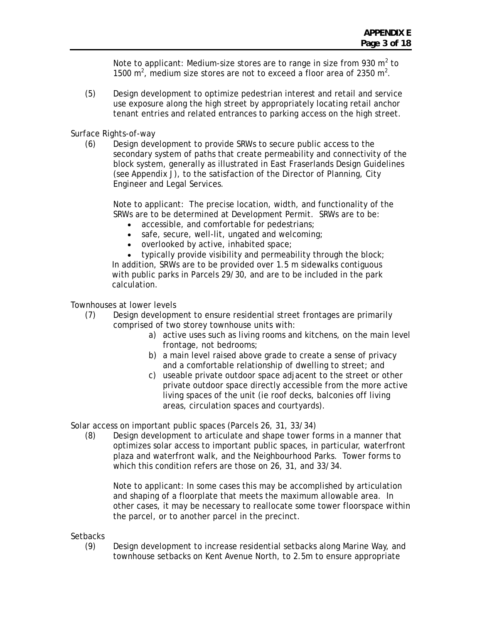Note to applicant: Medium-size stores are to range in size from 930  $m^2$  to 1500  $m^2$ , medium size stores are not to exceed a floor area of 2350  $m^2$ .

(5) Design development to optimize pedestrian interest and retail and service use exposure along the high street by appropriately locating retail anchor tenant entries and related entrances to parking access on the high street.

Surface Rights-of-way

(6) Design development to provide SRWs to secure public access to the secondary system of paths that create permeability and connectivity of the block system, generally as illustrated in East Fraserlands Design Guidelines (see Appendix J), to the satisfaction of the Director of Planning, City Engineer and Legal Services.

Note to applicant: The precise location, width, and functionality of the SRWs are to be determined at Development Permit. SRWs are to be:

- accessible, and comfortable for pedestrians;
- safe, secure, well-lit, ungated and welcoming;
- overlooked by active, inhabited space;

• typically provide visibility and permeability through the block; In addition, SRWs are to be provided over 1.5 m sidewalks contiguous with public parks in Parcels 29/30, and are to be included in the park calculation.

Townhouses at lower levels

- (7) Design development to ensure residential street frontages are primarily comprised of two storey townhouse units with:
	- a) active uses such as living rooms and kitchens, on the main level frontage, not bedrooms;
	- b) a main level raised above grade to create a sense of privacy and a comfortable relationship of dwelling to street; and
	- c) useable private outdoor space adjacent to the street or other private outdoor space directly accessible from the more active living spaces of the unit (ie roof decks, balconies off living areas, circulation spaces and courtyards).

Solar access on important public spaces (Parcels 26, 31, 33/34)

(8) Design development to articulate and shape tower forms in a manner that optimizes solar access to important public spaces, in particular, waterfront plaza and waterfront walk, and the Neighbourhood Parks. Tower forms to which this condition refers are those on 26, 31, and 33/34.

Note to applicant: In some cases this may be accomplished by articulation and shaping of a floorplate that meets the maximum allowable area. In other cases, it may be necessary to reallocate some tower floorspace within the parcel, or to another parcel in the precinct.

**Setbacks** 

(9) Design development to increase residential setbacks along Marine Way, and townhouse setbacks on Kent Avenue North, to 2.5m to ensure appropriate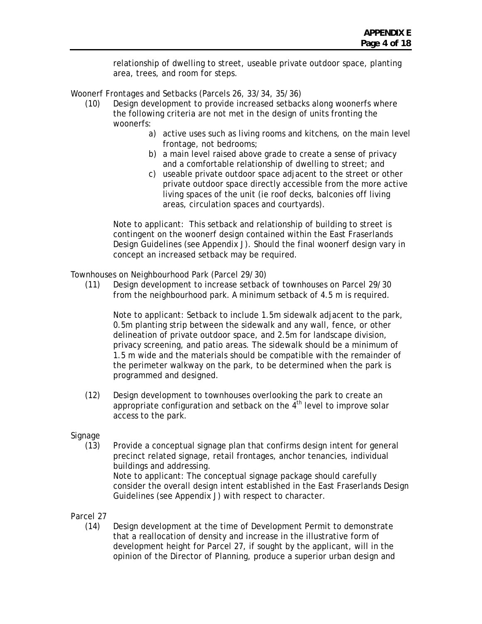relationship of dwelling to street, useable private outdoor space, planting area, trees, and room for steps.

Woonerf Frontages and Setbacks (Parcels 26, 33/34, 35/36)

- (10) Design development to provide increased setbacks along woonerfs where the following criteria are not met in the design of units fronting the woonerfs:
	- a) active uses such as living rooms and kitchens, on the main level frontage, not bedrooms;
	- b) a main level raised above grade to create a sense of privacy and a comfortable relationship of dwelling to street; and
	- c) useable private outdoor space adjacent to the street or other private outdoor space directly accessible from the more active living spaces of the unit (ie roof decks, balconies off living areas, circulation spaces and courtyards).

Note to applicant: This setback and relationship of building to street is contingent on the woonerf design contained within the East Fraserlands Design Guidelines (see Appendix J). Should the final woonerf design vary in concept an increased setback may be required.

Townhouses on Neighbourhood Park (Parcel 29/30)

(11) Design development to increase setback of townhouses on Parcel 29/30 from the neighbourhood park. A minimum setback of 4.5 m is required.

Note to applicant: Setback to include 1.5m sidewalk adjacent to the park, 0.5m planting strip between the sidewalk and any wall, fence, or other delineation of private outdoor space, and 2.5m for landscape division, privacy screening, and patio areas. The sidewalk should be a minimum of 1.5 m wide and the materials should be compatible with the remainder of the perimeter walkway on the park, to be determined when the park is programmed and designed.

(12) Design development to townhouses overlooking the park to create an appropriate configuration and setback on the  $\overline{4}^{\text{th}}$  level to improve solar access to the park.

Signage

(13) Provide a conceptual signage plan that confirms design intent for general precinct related signage, retail frontages, anchor tenancies, individual buildings and addressing. Note to applicant: The conceptual signage package should carefully consider the overall design intent established in the East Fraserlands Design Guidelines (see Appendix J) with respect to character.

Parcel 27

(14) Design development at the time of Development Permit to demonstrate that a reallocation of density and increase in the illustrative form of development height for Parcel 27, if sought by the applicant, will in the opinion of the Director of Planning, produce a superior urban design and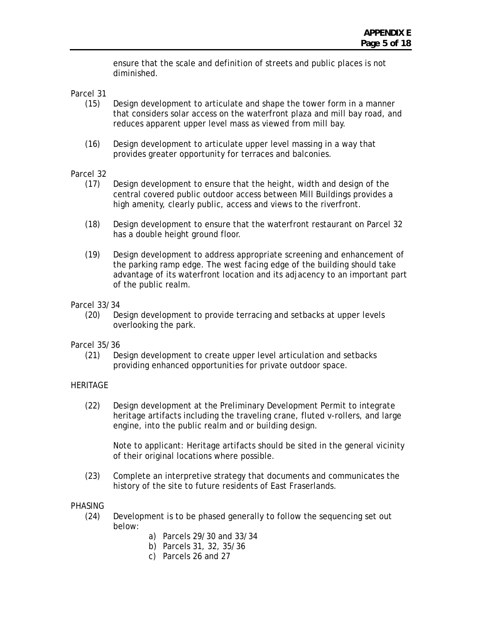ensure that the scale and definition of streets and public places is not diminished.

Parcel 31

- (15) Design development to articulate and shape the tower form in a manner that considers solar access on the waterfront plaza and mill bay road, and reduces apparent upper level mass as viewed from mill bay.
- (16) Design development to articulate upper level massing in a way that provides greater opportunity for terraces and balconies.

# Parcel 32

- (17) Design development to ensure that the height, width and design of the central covered public outdoor access between Mill Buildings provides a high amenity, clearly public, access and views to the riverfront.
- (18) Design development to ensure that the waterfront restaurant on Parcel 32 has a double height ground floor.
- (19) Design development to address appropriate screening and enhancement of the parking ramp edge. The west facing edge of the building should take advantage of its waterfront location and its adjacency to an important part of the public realm.

## Parcel 33/34

(20) Design development to provide terracing and setbacks at upper levels overlooking the park.

### Parcel 35/36

(21) Design development to create upper level articulation and setbacks providing enhanced opportunities for private outdoor space.

# **HERITAGE**

(22) Design development at the Preliminary Development Permit to integrate heritage artifacts including the traveling crane, fluted v-rollers, and large engine, into the public realm and or building design.

Note to applicant: Heritage artifacts should be sited in the general vicinity of their original locations where possible.

(23) Complete an interpretive strategy that documents and communicates the history of the site to future residents of East Fraserlands.

### PHASING

- (24) Development is to be phased generally to follow the sequencing set out below:
	- a) Parcels 29/30 and 33/34
	- b) Parcels 31, 32, 35/36
	- c) Parcels 26 and 27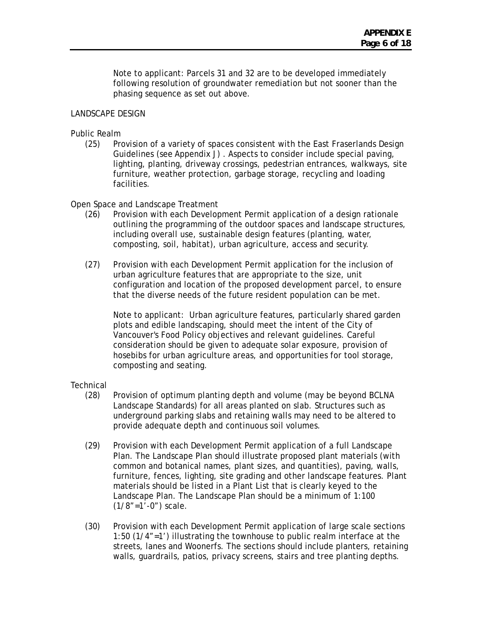Note to applicant: Parcels 31 and 32 are to be developed immediately following resolution of groundwater remediation but not sooner than the phasing sequence as set out above.

## LANDSCAPE DESIGN

### Public Realm

(25) Provision of a variety of spaces consistent with the East Fraserlands Design Guidelines (see Appendix J) . Aspects to consider include special paving, lighting, planting, driveway crossings, pedestrian entrances, walkways, site furniture, weather protection, garbage storage, recycling and loading facilities.

### Open Space and Landscape Treatment

- (26) Provision with each Development Permit application of a design rationale outlining the programming of the outdoor spaces and landscape structures, including overall use, sustainable design features (planting, water, composting, soil, habitat), urban agriculture, access and security.
- (27) Provision with each Development Permit application for the inclusion of urban agriculture features that are appropriate to the size, unit configuration and location of the proposed development parcel, to ensure that the diverse needs of the future resident population can be met.

Note to applicant: Urban agriculture features, particularly shared garden plots and edible landscaping, should meet the intent of the City of Vancouver's Food Policy objectives and relevant guidelines. Careful consideration should be given to adequate solar exposure, provision of hosebibs for urban agriculture areas, and opportunities for tool storage, composting and seating.

### **Technical**

- (28) Provision of optimum planting depth and volume (may be beyond BCLNA Landscape Standards) for all areas planted on slab. Structures such as underground parking slabs and retaining walls may need to be altered to provide adequate depth and continuous soil volumes.
- (29) Provision with each Development Permit application of a full Landscape Plan. The Landscape Plan should illustrate proposed plant materials (with common and botanical names, plant sizes, and quantities), paving, walls, furniture, fences, lighting, site grading and other landscape features. Plant materials should be listed in a Plant List that is clearly keyed to the Landscape Plan. The Landscape Plan should be a minimum of 1:100  $(1/8" = 1' - 0")$  scale.
- (30) Provision with each Development Permit application of large scale sections 1:50 (1/4"=1') illustrating the townhouse to public realm interface at the streets, lanes and Woonerfs. The sections should include planters, retaining walls, guardrails, patios, privacy screens, stairs and tree planting depths.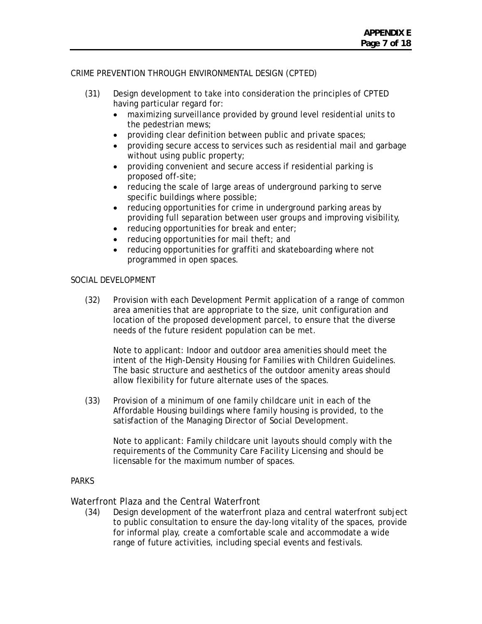# CRIME PREVENTION THROUGH ENVIRONMENTAL DESIGN (CPTED)

- (31) Design development to take into consideration the principles of CPTED having particular regard for:
	- maximizing surveillance provided by ground level residential units to the pedestrian mews;
	- providing clear definition between public and private spaces;
	- providing secure access to services such as residential mail and garbage without using public property;
	- providing convenient and secure access if residential parking is proposed off-site;
	- reducing the scale of large areas of underground parking to serve specific buildings where possible;
	- reducing opportunities for crime in underground parking areas by providing full separation between user groups and improving visibility,
	- reducing opportunities for break and enter;
	- reducing opportunities for mail theft; and
	- reducing opportunities for graffiti and skateboarding where not programmed in open spaces.

### SOCIAL DEVELOPMENT

(32) Provision with each Development Permit application of a range of common area amenities that are appropriate to the size, unit configuration and location of the proposed development parcel, to ensure that the diverse needs of the future resident population can be met.

Note to applicant: Indoor and outdoor area amenities should meet the intent of the High-Density Housing for Families with Children Guidelines. The basic structure and aesthetics of the outdoor amenity areas should allow flexibility for future alternate uses of the spaces.

(33) Provision of a minimum of one family childcare unit in each of the Affordable Housing buildings where family housing is provided, to the satisfaction of the Managing Director of Social Development.

Note to applicant: Family childcare unit layouts should comply with the requirements of the Community Care Facility Licensing and should be licensable for the maximum number of spaces.

# **PARKS**

# Waterfront Plaza and the Central Waterfront

(34) Design development of the waterfront plaza and central waterfront subject to public consultation to ensure the day-long vitality of the spaces, provide for informal play, create a comfortable scale and accommodate a wide range of future activities, including special events and festivals.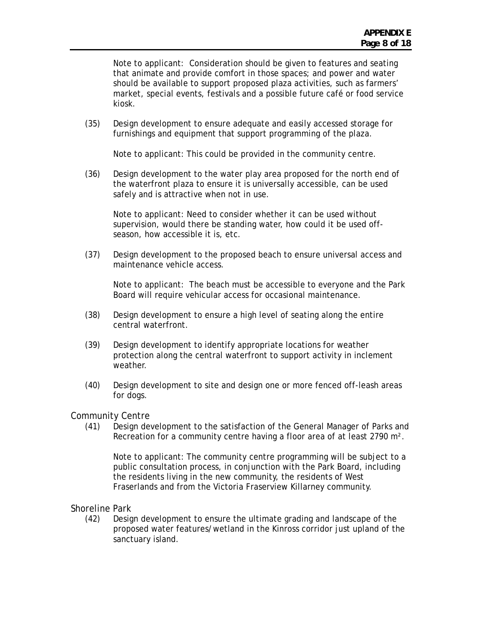Note to applicant: Consideration should be given to features and seating that animate and provide comfort in those spaces; and power and water should be available to support proposed plaza activities, such as farmers' market, special events, festivals and a possible future café or food service kiosk.

(35) Design development to ensure adequate and easily accessed storage for furnishings and equipment that support programming of the plaza.

Note to applicant: This could be provided in the community centre.

(36) Design development to the water play area proposed for the north end of the waterfront plaza to ensure it is universally accessible, can be used safely and is attractive when not in use.

Note to applicant: Need to consider whether it can be used without supervision, would there be standing water, how could it be used offseason, how accessible it is, etc.

(37) Design development to the proposed beach to ensure universal access and maintenance vehicle access.

Note to applicant: The beach must be accessible to everyone and the Park Board will require vehicular access for occasional maintenance.

- (38) Design development to ensure a high level of seating along the entire central waterfront.
- (39) Design development to identify appropriate locations for weather protection along the central waterfront to support activity in inclement weather.
- (40) Design development to site and design one or more fenced off-leash areas for dogs.

Community Centre

(41) Design development to the satisfaction of the General Manager of Parks and Recreation for a community centre having a floor area of at least 2790 m².

Note to applicant: The community centre programming will be subject to a public consultation process, in conjunction with the Park Board, including the residents living in the new community, the residents of West Fraserlands and from the Victoria Fraserview Killarney community.

Shoreline Park

(42) Design development to ensure the ultimate grading and landscape of the proposed water features/wetland in the Kinross corridor just upland of the sanctuary island.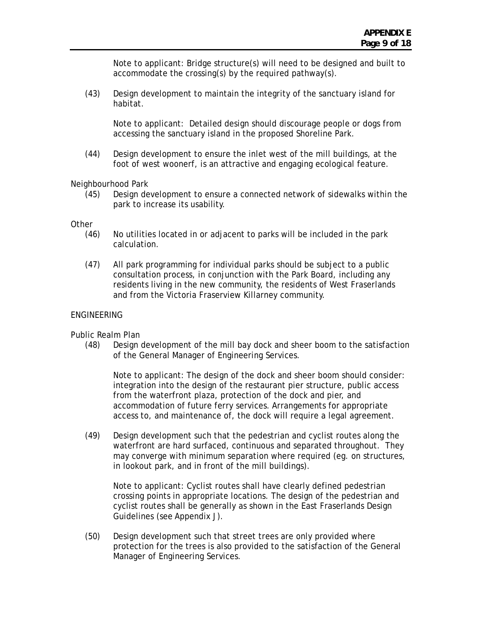Note to applicant: Bridge structure(s) will need to be designed and built to accommodate the crossing(s) by the required pathway(s).

(43) Design development to maintain the integrity of the sanctuary island for habitat.

Note to applicant: Detailed design should discourage people or dogs from accessing the sanctuary island in the proposed Shoreline Park.

(44) Design development to ensure the inlet west of the mill buildings, at the foot of west woonerf, is an attractive and engaging ecological feature.

Neighbourhood Park

(45) Design development to ensure a connected network of sidewalks within the park to increase its usability.

**Other** 

- (46) No utilities located in or adjacent to parks will be included in the park calculation.
- (47) All park programming for individual parks should be subject to a public consultation process, in conjunction with the Park Board, including any residents living in the new community, the residents of West Fraserlands and from the Victoria Fraserview Killarney community.

### ENGINEERING

Public Realm Plan

(48) Design development of the mill bay dock and sheer boom to the satisfaction of the General Manager of Engineering Services.

Note to applicant: The design of the dock and sheer boom should consider: integration into the design of the restaurant pier structure, public access from the waterfront plaza, protection of the dock and pier, and accommodation of future ferry services. Arrangements for appropriate access to, and maintenance of, the dock will require a legal agreement.

(49) Design development such that the pedestrian and cyclist routes along the waterfront are hard surfaced, continuous and separated throughout. They may converge with minimum separation where required (eg. on structures, in lookout park, and in front of the mill buildings).

Note to applicant: Cyclist routes shall have clearly defined pedestrian crossing points in appropriate locations. The design of the pedestrian and cyclist routes shall be generally as shown in the East Fraserlands Design Guidelines (see Appendix J).

(50) Design development such that street trees are only provided where protection for the trees is also provided to the satisfaction of the General Manager of Engineering Services.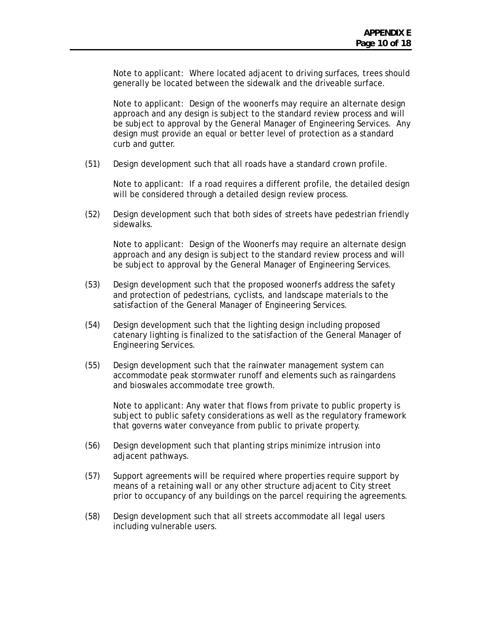Note to applicant: Where located adjacent to driving surfaces, trees should generally be located between the sidewalk and the driveable surface.

Note to applicant: Design of the woonerfs may require an alternate design approach and any design is subject to the standard review process and will be subject to approval by the General Manager of Engineering Services. Any design must provide an equal or better level of protection as a standard curb and gutter.

(51) Design development such that all roads have a standard crown profile.

Note to applicant: If a road requires a different profile, the detailed design will be considered through a detailed design review process.

(52) Design development such that both sides of streets have pedestrian friendly sidewalks.

Note to applicant: Design of the Woonerfs may require an alternate design approach and any design is subject to the standard review process and will be subject to approval by the General Manager of Engineering Services.

- (53) Design development such that the proposed woonerfs address the safety and protection of pedestrians, cyclists, and landscape materials to the satisfaction of the General Manager of Engineering Services.
- (54) Design development such that the lighting design including proposed catenary lighting is finalized to the satisfaction of the General Manager of Engineering Services.
- (55) Design development such that the rainwater management system can accommodate peak stormwater runoff and elements such as raingardens and bioswales accommodate tree growth.

Note to applicant: Any water that flows from private to public property is subject to public safety considerations as well as the regulatory framework that governs water conveyance from public to private property.

- (56) Design development such that planting strips minimize intrusion into adjacent pathways.
- (57) Support agreements will be required where properties require support by means of a retaining wall or any other structure adjacent to City street prior to occupancy of any buildings on the parcel requiring the agreements.
- (58) Design development such that all streets accommodate all legal users including vulnerable users.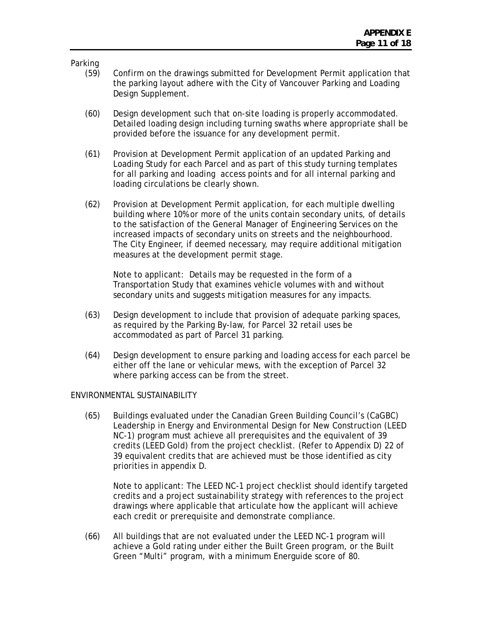Parking

- (59) Confirm on the drawings submitted for Development Permit application that the parking layout adhere with the City of Vancouver Parking and Loading Design Supplement.
- (60) Design development such that on-site loading is properly accommodated. Detailed loading design including turning swaths where appropriate shall be provided before the issuance for any development permit.
- (61) Provision at Development Permit application of an updated Parking and Loading Study for each Parcel and as part of this study turning templates for all parking and loading access points and for all internal parking and loading circulations be clearly shown.
- (62) Provision at Development Permit application, for each multiple dwelling building where 10% or more of the units contain secondary units, of details to the satisfaction of the General Manager of Engineering Services on the increased impacts of secondary units on streets and the neighbourhood. The City Engineer, if deemed necessary, may require additional mitigation measures at the development permit stage.

Note to applicant: Details may be requested in the form of a Transportation Study that examines vehicle volumes with and without secondary units and suggests mitigation measures for any impacts.

- (63) Design development to include that provision of adequate parking spaces, as required by the Parking By-law, for Parcel 32 retail uses be accommodated as part of Parcel 31 parking.
- (64) Design development to ensure parking and loading access for each parcel be either off the lane or vehicular mews, with the exception of Parcel 32 where parking access can be from the street.

### ENVIRONMENTAL SUSTAINABILITY

(65) Buildings evaluated under the Canadian Green Building Council's (CaGBC) Leadership in Energy and Environmental Design for New Construction (LEED NC-1) program must achieve all prerequisites and the equivalent of 39 credits (LEED Gold) from the project checklist. (Refer to Appendix D) 22 of 39 equivalent credits that are achieved must be those identified as city priorities in appendix D.

Note to applicant: The LEED NC-1 project checklist should identify targeted credits and a project sustainability strategy with references to the project drawings where applicable that articulate how the applicant will achieve each credit or prerequisite and demonstrate compliance.

(66) All buildings that are not evaluated under the LEED NC-1 program will achieve a Gold rating under either the Built Green program, or the Built Green "Multi" program, with a minimum Energuide score of 80.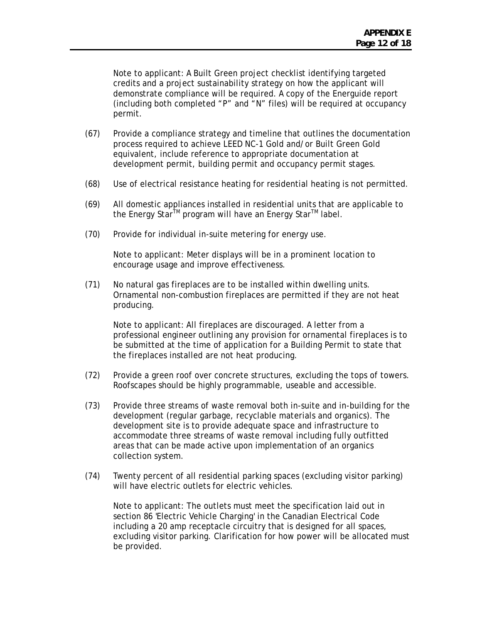Note to applicant: A Built Green project checklist identifying targeted credits and a project sustainability strategy on how the applicant will demonstrate compliance will be required. A copy of the Energuide report (including both completed "P" and "N" files) will be required at occupancy permit.

- (67) Provide a compliance strategy and timeline that outlines the documentation process required to achieve LEED NC-1 Gold and/or Built Green Gold equivalent, include reference to appropriate documentation at development permit, building permit and occupancy permit stages.
- (68) Use of electrical resistance heating for residential heating is not permitted.
- (69) All domestic appliances installed in residential units that are applicable to the Energy Star<sup>™</sup> program will have an Energy Star<sup>™</sup> label.
- (70) Provide for individual in-suite metering for energy use.

Note to applicant: Meter displays will be in a prominent location to encourage usage and improve effectiveness.

(71) No natural gas fireplaces are to be installed within dwelling units. Ornamental non-combustion fireplaces are permitted if they are not heat producing.

Note to applicant: All fireplaces are discouraged. A letter from a professional engineer outlining any provision for ornamental fireplaces is to be submitted at the time of application for a Building Permit to state that the fireplaces installed are not heat producing.

- (72) Provide a green roof over concrete structures, excluding the tops of towers. Roofscapes should be highly programmable, useable and accessible.
- (73) Provide three streams of waste removal both in-suite and in-building for the development (regular garbage, recyclable materials and organics). The development site is to provide adequate space and infrastructure to accommodate three streams of waste removal including fully outfitted areas that can be made active upon implementation of an organics collection system.
- (74) Twenty percent of all residential parking spaces (excluding visitor parking) will have electric outlets for electric vehicles.

Note to applicant: The outlets must meet the specification laid out in section 86 'Electric Vehicle Charging' in the Canadian Electrical Code including a 20 amp receptacle circuitry that is designed for all spaces, excluding visitor parking. Clarification for how power will be allocated must be provided.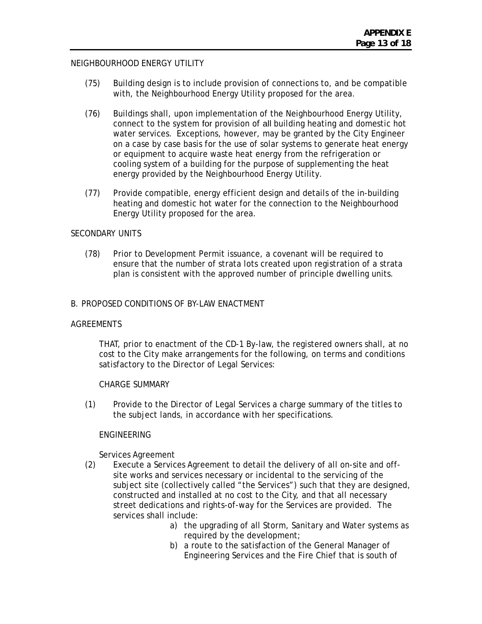## NEIGHBOURHOOD ENERGY UTILITY

- (75) Building design is to include provision of connections to, and be compatible with, the Neighbourhood Energy Utility proposed for the area.
- (76) Buildings shall, upon implementation of the Neighbourhood Energy Utility, connect to the system for provision of all building heating and domestic hot water services. Exceptions, however, may be granted by the City Engineer on a case by case basis for the use of solar systems to generate heat energy or equipment to acquire waste heat energy from the refrigeration or cooling system of a building for the purpose of supplementing the heat energy provided by the Neighbourhood Energy Utility.
- (77) Provide compatible, energy efficient design and details of the in-building heating and domestic hot water for the connection to the Neighbourhood Energy Utility proposed for the area.

### SECONDARY UNITS

(78) Prior to Development Permit issuance, a covenant will be required to ensure that the number of strata lots created upon registration of a strata plan is consistent with the approved number of principle dwelling units.

### B. PROPOSED CONDITIONS OF BY-LAW ENACTMENT

### AGREEMENTS

 THAT, prior to enactment of the CD-1 By-law, the registered owners shall, at no cost to the City make arrangements for the following, on terms and conditions satisfactory to the Director of Legal Services:

### CHARGE SUMMARY

(1) Provide to the Director of Legal Services a charge summary of the titles to the subject lands, in accordance with her specifications.

### **FNGINEFRING**

Services Agreement

- (2) Execute a Services Agreement to detail the delivery of all on-site and offsite works and services necessary or incidental to the servicing of the subject site (collectively called "the Services") such that they are designed, constructed and installed at no cost to the City, and that all necessary street dedications and rights-of-way for the Services are provided. The services shall include:
	- a) the upgrading of all Storm, Sanitary and Water systems as required by the development;
	- b) a route to the satisfaction of the General Manager of Engineering Services and the Fire Chief that is south of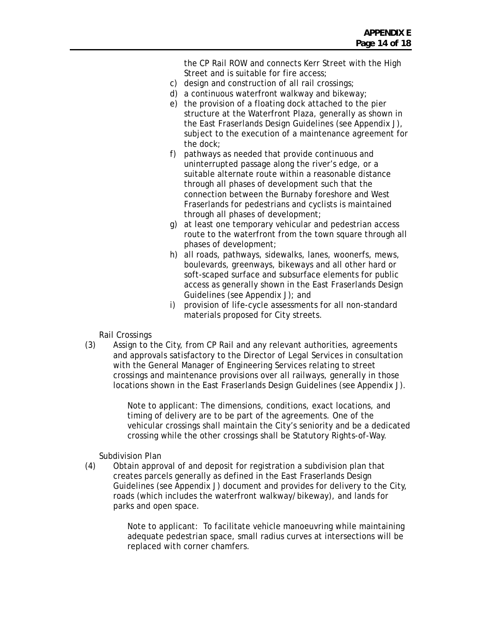the CP Rail ROW and connects Kerr Street with the High Street and is suitable for fire access;

- c) design and construction of all rail crossings;
- d) a continuous waterfront walkway and bikeway;
- e) the provision of a floating dock attached to the pier structure at the Waterfront Plaza, generally as shown in the East Fraserlands Design Guidelines (see Appendix J), subject to the execution of a maintenance agreement for the dock;
- f) pathways as needed that provide continuous and uninterrupted passage along the river's edge, or a suitable alternate route within a reasonable distance through all phases of development such that the connection between the Burnaby foreshore and West Fraserlands for pedestrians and cyclists is maintained through all phases of development;
- g) at least one temporary vehicular and pedestrian access route to the waterfront from the town square through all phases of development;
- h) all roads, pathways, sidewalks, lanes, woonerfs, mews, boulevards, greenways, bikeways and all other hard or soft-scaped surface and subsurface elements for public access as generally shown in the East Fraserlands Design Guidelines (see Appendix J); and
- i) provision of life-cycle assessments for all non-standard materials proposed for City streets.

Rail Crossings

(3) Assign to the City, from CP Rail and any relevant authorities, agreements and approvals satisfactory to the Director of Legal Services in consultation with the General Manager of Engineering Services relating to street crossings and maintenance provisions over all railways, generally in those locations shown in the East Fraserlands Design Guidelines (see Appendix J).

> Note to applicant: The dimensions, conditions, exact locations, and timing of delivery are to be part of the agreements. One of the vehicular crossings shall maintain the City's seniority and be a dedicated crossing while the other crossings shall be Statutory Rights-of-Way.

Subdivision Plan

(4) Obtain approval of and deposit for registration a subdivision plan that creates parcels generally as defined in the East Fraserlands Design Guidelines (see Appendix J) document and provides for delivery to the City, roads (which includes the waterfront walkway/bikeway), and lands for parks and open space.

> Note to applicant: To facilitate vehicle manoeuvring while maintaining adequate pedestrian space, small radius curves at intersections will be replaced with corner chamfers.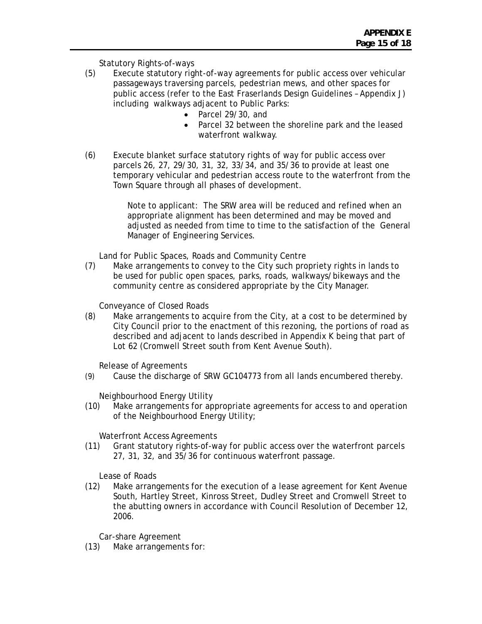Statutory Rights-of-ways

- (5) Execute statutory right-of-way agreements for public access over vehicular passageways traversing parcels, pedestrian mews, and other spaces for public access (refer to the East Fraserlands Design Guidelines – Appendix J) including walkways adjacent to Public Parks:
	- Parcel 29/30, and
	- Parcel 32 between the shoreline park and the leased waterfront walkway.
- (6) Execute blanket surface statutory rights of way for public access over parcels 26, 27, 29/30, 31, 32, 33/34, and 35/36 to provide at least one temporary vehicular and pedestrian access route to the waterfront from the Town Square through all phases of development.

Note to applicant: The SRW area will be reduced and refined when an appropriate alignment has been determined and may be moved and adjusted as needed from time to time to the satisfaction of the General Manager of Engineering Services.

Land for Public Spaces, Roads and Community Centre

(7) Make arrangements to convey to the City such propriety rights in lands to be used for public open spaces, parks, roads, walkways/bikeways and the community centre as considered appropriate by the City Manager.

Conveyance of Closed Roads

(8) Make arrangements to acquire from the City, at a cost to be determined by City Council prior to the enactment of this rezoning, the portions of road as described and adjacent to lands described in Appendix K being that part of Lot 62 (Cromwell Street south from Kent Avenue South).

Release of Agreements

(9) Cause the discharge of SRW GC104773 from all lands encumbered thereby.

Neighbourhood Energy Utility

(10) Make arrangements for appropriate agreements for access to and operation of the Neighbourhood Energy Utility;

Waterfront Access Agreements

(11) Grant statutory rights-of-way for public access over the waterfront parcels 27, 31, 32, and 35/36 for continuous waterfront passage.

Lease of Roads

(12) Make arrangements for the execution of a lease agreement for Kent Avenue South, Hartley Street, Kinross Street, Dudley Street and Cromwell Street to the abutting owners in accordance with Council Resolution of December 12, 2006.

Car-share Agreement

(13) Make arrangements for: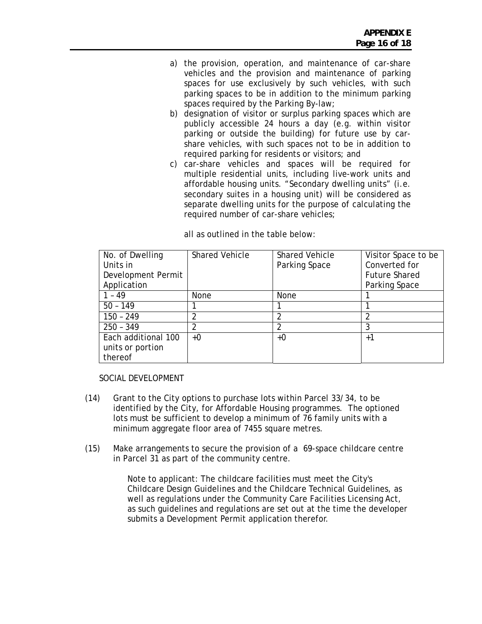- a) the provision, operation, and maintenance of car-share vehicles and the provision and maintenance of parking spaces for use exclusively by such vehicles, with such parking spaces to be in addition to the minimum parking spaces required by the Parking By-law;
- b) designation of visitor or surplus parking spaces which are publicly accessible 24 hours a day (e.g. within visitor parking or outside the building) for future use by carshare vehicles, with such spaces not to be in addition to required parking for residents or visitors; and
- c) car-share vehicles and spaces will be required for multiple residential units, including live-work units and affordable housing units. "Secondary dwelling units" (i.e. secondary suites in a housing unit) will be considered as separate dwelling units for the purpose of calculating the required number of car-share vehicles;

| No. of Dwelling     | <b>Shared Vehicle</b> | <b>Shared Vehicle</b> | Visitor Space to be  |
|---------------------|-----------------------|-----------------------|----------------------|
| Units in            |                       | Parking Space         | Converted for        |
| Development Permit  |                       |                       | <b>Future Shared</b> |
| Application         |                       |                       | Parking Space        |
| 1 - 49              | <b>None</b>           | <b>None</b>           |                      |
| $50 - 149$          |                       |                       |                      |
| $150 - 249$         |                       |                       |                      |
| $250 - 349$         |                       |                       | 3                    |
| Each additional 100 | +0                    | $+0$                  | $+1$                 |
| units or portion    |                       |                       |                      |
| thereof             |                       |                       |                      |

all as outlined in the table below:

### SOCIAL DEVELOPMENT

- (14) Grant to the City options to purchase lots within Parcel 33/34, to be identified by the City, for Affordable Housing programmes. The optioned lots must be sufficient to develop a minimum of 76 family units with a minimum aggregate floor area of 7455 square metres.
- (15) Make arrangements to secure the provision of a 69-space childcare centre in Parcel 31 as part of the community centre.

Note to applicant: The childcare facilities must meet the City's Childcare Design Guidelines and the Childcare Technical Guidelines, as well as regulations under the Community Care Facilities Licensing Act, as such guidelines and regulations are set out at the time the developer submits a Development Permit application therefor.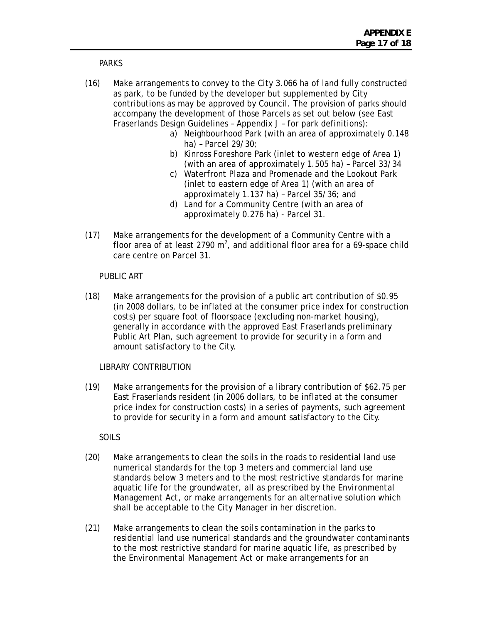### PARKS

- (16) Make arrangements to convey to the City 3.066 ha of land fully constructed as park, to be funded by the developer but supplemented by City contributions as may be approved by Council. The provision of parks should accompany the development of those Parcels as set out below (see East Fraserlands Design Guidelines – Appendix J – for park definitions):
	- a) Neighbourhood Park (with an area of approximately 0.148 ha) – Parcel 29/30;
	- b) Kinross Foreshore Park (inlet to western edge of Area 1) (with an area of approximately 1.505 ha) – Parcel 33/34
	- c) Waterfront Plaza and Promenade and the Lookout Park (inlet to eastern edge of Area 1) (with an area of approximately 1.137 ha) – Parcel 35/36; and
	- d) Land for a Community Centre (with an area of approximately 0.276 ha) - Parcel 31.
- (17) Make arrangements for the development of a Community Centre with a floor area of at least 2790  $m^2$ , and additional floor area for a 69-space child care centre on Parcel 31.

# PUBLIC ART

(18) Make arrangements for the provision of a public art contribution of \$0.95 (in 2008 dollars, to be inflated at the consumer price index for construction costs) per square foot of floorspace (excluding non-market housing), generally in accordance with the approved East Fraserlands preliminary Public Art Plan, such agreement to provide for security in a form and amount satisfactory to the City.

### LIBRARY CONTRIBUTION

(19) Make arrangements for the provision of a library contribution of \$62.75 per East Fraserlands resident (in 2006 dollars, to be inflated at the consumer price index for construction costs) in a series of payments, such agreement to provide for security in a form and amount satisfactory to the City.

# SOILS

- (20) Make arrangements to clean the soils in the roads to residential land use numerical standards for the top 3 meters and commercial land use standards below 3 meters and to the most restrictive standards for marine aquatic life for the groundwater, all as prescribed by the *Environmental Management Act*, or make arrangements for an alternative solution which shall be acceptable to the City Manager in her discretion.
- (21) Make arrangements to clean the soils contamination in the parks to residential land use numerical standards and the groundwater contaminants to the most restrictive standard for marine aquatic life, as prescribed by the *Environmental Management Act* or make arrangements for an